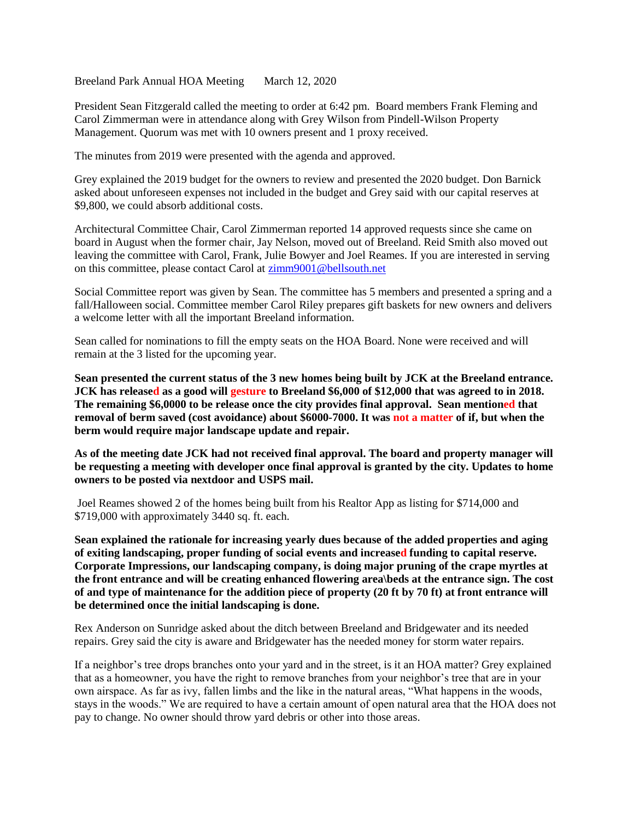Breeland Park Annual HOA Meeting March 12, 2020

President Sean Fitzgerald called the meeting to order at 6:42 pm. Board members Frank Fleming and Carol Zimmerman were in attendance along with Grey Wilson from Pindell-Wilson Property Management. Quorum was met with 10 owners present and 1 proxy received.

The minutes from 2019 were presented with the agenda and approved.

Grey explained the 2019 budget for the owners to review and presented the 2020 budget. Don Barnick asked about unforeseen expenses not included in the budget and Grey said with our capital reserves at \$9,800, we could absorb additional costs.

Architectural Committee Chair, Carol Zimmerman reported 14 approved requests since she came on board in August when the former chair, Jay Nelson, moved out of Breeland. Reid Smith also moved out leaving the committee with Carol, Frank, Julie Bowyer and Joel Reames. If you are interested in serving on this committee, please contact Carol at [zimm9001@bellsouth.net](about:blank)

Social Committee report was given by Sean. The committee has 5 members and presented a spring and a fall/Halloween social. Committee member Carol Riley prepares gift baskets for new owners and delivers a welcome letter with all the important Breeland information.

Sean called for nominations to fill the empty seats on the HOA Board. None were received and will remain at the 3 listed for the upcoming year.

**Sean presented the current status of the 3 new homes being built by JCK at the Breeland entrance. JCK has released as a good will gesture to Breeland \$6,000 of \$12,000 that was agreed to in 2018. The remaining \$6,0000 to be release once the city provides final approval. Sean mentioned that removal of berm saved (cost avoidance) about \$6000-7000. It was not a matter of if, but when the berm would require major landscape update and repair.** 

**As of the meeting date JCK had not received final approval. The board and property manager will be requesting a meeting with developer once final approval is granted by the city. Updates to home owners to be posted via nextdoor and USPS mail.** 

Joel Reames showed 2 of the homes being built from his Realtor App as listing for \$714,000 and \$719,000 with approximately 3440 sq. ft. each.

**Sean explained the rationale for increasing yearly dues because of the added properties and aging of exiting landscaping, proper funding of social events and increased funding to capital reserve. Corporate Impressions, our landscaping company, is doing major pruning of the crape myrtles at the front entrance and will be creating enhanced flowering area\beds at the entrance sign. The cost of and type of maintenance for the addition piece of property (20 ft by 70 ft) at front entrance will be determined once the initial landscaping is done.**

Rex Anderson on Sunridge asked about the ditch between Breeland and Bridgewater and its needed repairs. Grey said the city is aware and Bridgewater has the needed money for storm water repairs.

If a neighbor's tree drops branches onto your yard and in the street, is it an HOA matter? Grey explained that as a homeowner, you have the right to remove branches from your neighbor's tree that are in your own airspace. As far as ivy, fallen limbs and the like in the natural areas, "What happens in the woods, stays in the woods." We are required to have a certain amount of open natural area that the HOA does not pay to change. No owner should throw yard debris or other into those areas.